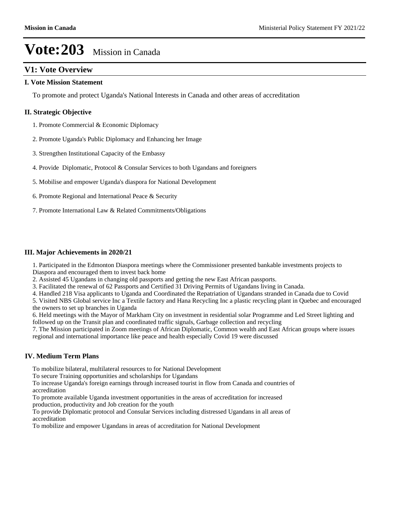## **V1: Vote Overview**

#### **I. Vote Mission Statement**

To promote and protect Uganda's National Interests in Canada and other areas of accreditation

#### **II. Strategic Objective**

- 1. Promote Commercial & Economic Diplomacy
- 2. Promote Uganda's Public Diplomacy and Enhancing her Image
- 3. Strengthen Institutional Capacity of the Embassy
- 4. Provide Diplomatic, Protocol & Consular Services to both Ugandans and foreigners
- 5. Mobilise and empower Uganda's diaspora for National Development
- 6. Promote Regional and International Peace & Security
- 7. Promote International Law & Related Commitments/Obligations

#### **III. Major Achievements in 2020/21**

1. Participated in the Edmonton Diaspora meetings where the Commissioner presented bankable investments projects to Diaspora and encouraged them to invest back home

2. Assisted 45 Ugandans in changing old passports and getting the new East African passports.

3. Facilitated the renewal of 62 Passports and Certified 31 Driving Permits of Ugandans living in Canada.

4. Handled 218 Visa applicants to Uganda and Coordinated the Repatriation of Ugandans stranded in Canada due to Covid

5. Visited NBS Global service Inc a Textile factory and Hana Recycling Inc a plastic recycling plant in Quebec and encouraged the owners to set up branches in Uganda

6. Held meetings with the Mayor of Markham City on investment in residential solar Programme and Led Street lighting and followed up on the Transit plan and coordinated traffic signals, Garbage collection and recycling

7. The Mission participated in Zoom meetings of African Diplomatic, Common wealth and East African groups where issues regional and international importance like peace and health especially Covid 19 were discussed

#### **IV. Medium Term Plans**

To mobilize bilateral, multilateral resources to for National Development

To secure Training opportunities and scholarships for Ugandans

To increase Uganda's foreign earnings through increased tourist in flow from Canada and countries of accreditation

To promote available Uganda investment opportunities in the areas of accreditation for increased production, productivity and Job creation for the youth

To provide Diplomatic protocol and Consular Services including distressed Ugandans in all areas of accreditation

To mobilize and empower Ugandans in areas of accreditation for National Development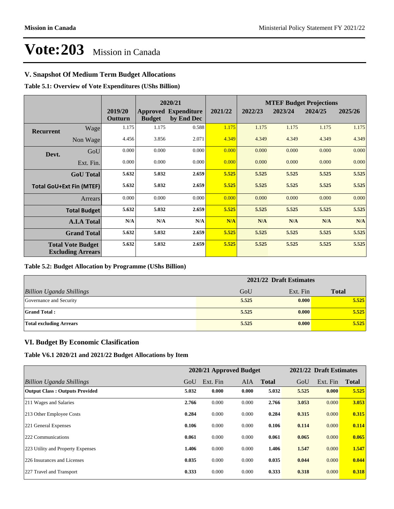## **V. Snapshot Of Medium Term Budget Allocations**

**Table 5.1: Overview of Vote Expenditures (UShs Billion)**

|                  |                                                      |                    | 2020/21       |                                           |         | <b>MTEF Budget Projections</b> |         |         |         |  |  |
|------------------|------------------------------------------------------|--------------------|---------------|-------------------------------------------|---------|--------------------------------|---------|---------|---------|--|--|
|                  |                                                      | 2019/20<br>Outturn | <b>Budget</b> | <b>Approved Expenditure</b><br>by End Dec | 2021/22 | 2022/23                        | 2023/24 | 2024/25 | 2025/26 |  |  |
| <b>Recurrent</b> | Wage                                                 | 1.175              | 1.175         | 0.588                                     | 1.175   | 1.175                          | 1.175   | 1.175   | 1.175   |  |  |
|                  | Non Wage                                             | 4.456              | 3.856         | 2.071                                     | 4.349   | 4.349                          | 4.349   | 4.349   | 4.349   |  |  |
| Devt.            | GoU                                                  | 0.000              | 0.000         | 0.000                                     | 0.000   | 0.000                          | 0.000   | 0.000   | 0.000   |  |  |
|                  | Ext. Fin.                                            | 0.000              | 0.000         | 0.000                                     | 0.000   | 0.000                          | 0.000   | 0.000   | 0.000   |  |  |
|                  | <b>GoU</b> Total                                     | 5.632              | 5.032         | 2.659                                     | 5.525   | 5.525                          | 5.525   | 5.525   | 5.525   |  |  |
|                  | <b>Total GoU+Ext Fin (MTEF)</b>                      | 5.632              | 5.032         | 2.659                                     | 5.525   | 5.525                          | 5.525   | 5.525   | 5.525   |  |  |
|                  | Arrears                                              | 0.000              | 0.000         | 0.000                                     | 0.000   | 0.000                          | 0.000   | 0.000   | 0.000   |  |  |
|                  | <b>Total Budget</b>                                  | 5.632              | 5.032         | 2.659                                     | 5.525   | 5.525                          | 5.525   | 5.525   | 5.525   |  |  |
|                  | <b>A.I.A Total</b>                                   | N/A                | N/A           | N/A                                       | N/A     | N/A                            | N/A     | N/A     | N/A     |  |  |
|                  | <b>Grand Total</b>                                   | 5.632              | 5.032         | 2.659                                     | 5.525   | 5.525                          | 5.525   | 5.525   | 5.525   |  |  |
|                  | <b>Total Vote Budget</b><br><b>Excluding Arrears</b> | 5.632              | 5.032         | 2.659                                     | 5.525   | 5.525                          | 5.525   | 5.525   | 5.525   |  |  |

#### **Table 5.2: Budget Allocation by Programme (UShs Billion)**

|                                 | 2021/22 Draft Estimates |          |              |  |  |
|---------------------------------|-------------------------|----------|--------------|--|--|
| <b>Billion Uganda Shillings</b> | GoU                     | Ext. Fin | <b>Total</b> |  |  |
| Governance and Security         | 5.525                   | 0.000    | 5.525        |  |  |
| <b>Grand Total:</b>             | 5.525                   | 0.000    | 5.525        |  |  |
| <b>Total excluding Arrears</b>  | 5.525                   | 0.000    | 5.525        |  |  |

#### **VI. Budget By Economic Clasification**

**Table V6.1 2020/21 and 2021/22 Budget Allocations by Item**

|                                       |       | 2020/21 Approved Budget |            |              |       | 2021/22 Draft Estimates |              |
|---------------------------------------|-------|-------------------------|------------|--------------|-------|-------------------------|--------------|
| Billion Uganda Shillings              | GoU   | Ext. Fin                | <b>AIA</b> | <b>Total</b> | GoU   | Ext. Fin                | <b>Total</b> |
| <b>Output Class: Outputs Provided</b> | 5.032 | 0.000                   | 0.000      | 5.032        | 5.525 | 0.000                   | 5.525        |
| 211 Wages and Salaries                | 2.766 | 0.000                   | 0.000      | 2.766        | 3.053 | 0.000                   | 3.053        |
| 213 Other Employee Costs              | 0.284 | 0.000                   | 0.000      | 0.284        | 0.315 | 0.000                   | 0.315        |
| 221 General Expenses                  | 0.106 | 0.000                   | 0.000      | 0.106        | 0.114 | 0.000                   | 0.114        |
| 222 Communications                    | 0.061 | 0.000                   | 0.000      | 0.061        | 0.065 | 0.000                   | 0.065        |
| 223 Utility and Property Expenses     | 1.406 | 0.000                   | 0.000      | 1.406        | 1.547 | 0.000                   | 1.547        |
| 226 Insurances and Licenses           | 0.035 | 0.000                   | 0.000      | 0.035        | 0.044 | 0.000                   | 0.044        |
| 227 Travel and Transport              | 0.333 | 0.000                   | 0.000      | 0.333        | 0.318 | 0.000                   | 0.318        |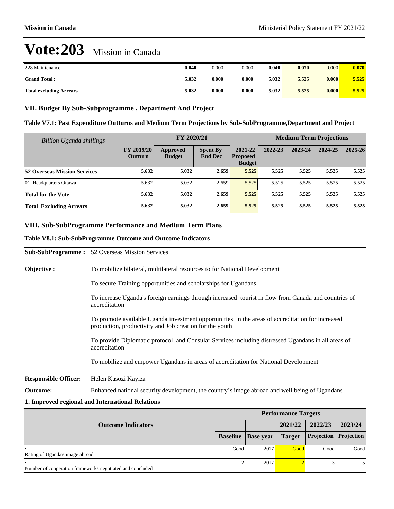| 228 Maintenance                | 0.040 | 0.000 | 0.000 | 0.040 | 0.070 | 0.000 | 0.070 |
|--------------------------------|-------|-------|-------|-------|-------|-------|-------|
| <b>Grand Total:</b>            | 5.032 | 0.000 | 0.000 | 5.032 | 5.525 | 0.000 | 5.525 |
| <b>Total excluding Arrears</b> | 5.032 | 0.000 | 0.000 | 5.032 | 5.525 | 0.000 | 5.525 |

## VII. Budget By Sub-Subprogramme, Department And Project

| Table V7.1: Past Expenditure Outturns and Medium Term Projections by Sub-SubProgramme, Department and Project |
|---------------------------------------------------------------------------------------------------------------|
|---------------------------------------------------------------------------------------------------------------|

| <b>Billion Uganda shillings</b>     |                                     | FY 2020/21                       |                                   |                                             | <b>Medium Term Projections</b> |         |         |             |  |
|-------------------------------------|-------------------------------------|----------------------------------|-----------------------------------|---------------------------------------------|--------------------------------|---------|---------|-------------|--|
|                                     | <b>FY 2019/20</b><br><b>Outturn</b> | <b>Approved</b><br><b>Budget</b> | <b>Spent By</b><br><b>End Dec</b> | 2021-22<br><b>Proposed</b><br><b>Budget</b> | 2022-23                        | 2023-24 | 2024-25 | $2025 - 26$ |  |
| <b>52 Overseas Mission Services</b> | 5.632                               | 5.032                            | 2.659                             | 5.525                                       | 5.525                          | 5.525   | 5.525   | 5.525       |  |
| 01 Headquarters Ottawa              | 5.632                               | 5.032                            | 2.659                             | 5.525                                       | 5.525                          | 5.525   | 5.525   | 5.525       |  |
| <b>Total for the Vote</b>           | 5.632                               | 5.032                            | 2.659                             | 5.525                                       | 5.525                          | 5.525   | 5.525   | 5.525       |  |
| <b>Total Excluding Arrears</b>      | 5.632                               | 5.032                            | 2.659                             | 5.525                                       | 5.525                          | 5.525   | 5.525   | 5.525       |  |

## **VIII. Sub-SubProgramme Performance and Medium Term Plans**

#### **Table V8.1: Sub-SubProgramme Outcome and Outcome Indicators**

|                                                           | <b>Sub-SubProgramme:</b> 52 Overseas Mission Services                                                                                                       |                                                                           |                        |                            |            |            |  |
|-----------------------------------------------------------|-------------------------------------------------------------------------------------------------------------------------------------------------------------|---------------------------------------------------------------------------|------------------------|----------------------------|------------|------------|--|
| Objective:                                                |                                                                                                                                                             | To mobilize bilateral, multilateral resources to for National Development |                        |                            |            |            |  |
|                                                           |                                                                                                                                                             | To secure Training opportunities and scholarships for Ugandans            |                        |                            |            |            |  |
|                                                           | To increase Uganda's foreign earnings through increased tourist in flow from Canada and countries of<br>accreditation                                       |                                                                           |                        |                            |            |            |  |
|                                                           | To promote available Uganda investment opportunities in the areas of accreditation for increased<br>production, productivity and Job creation for the youth |                                                                           |                        |                            |            |            |  |
|                                                           | To provide Diplomatic protocol and Consular Services including distressed Ugandans in all areas of<br>accreditation                                         |                                                                           |                        |                            |            |            |  |
|                                                           | To mobilize and empower Ugandans in areas of accreditation for National Development                                                                         |                                                                           |                        |                            |            |            |  |
| <b>Responsible Officer:</b>                               | Helen Kasozi Kayiza                                                                                                                                         |                                                                           |                        |                            |            |            |  |
| <b>Outcome:</b>                                           | Enhanced national security development, the country's image abroad and well being of Ugandans                                                               |                                                                           |                        |                            |            |            |  |
|                                                           | 1. Improved regional and International Relations                                                                                                            |                                                                           |                        |                            |            |            |  |
|                                                           |                                                                                                                                                             |                                                                           |                        | <b>Performance Targets</b> |            |            |  |
|                                                           | <b>Outcome Indicators</b>                                                                                                                                   |                                                                           |                        | 2021/22                    | 2022/23    | 2023/24    |  |
|                                                           |                                                                                                                                                             | <b>Baseline</b>                                                           | <b>Base year</b>       | <b>Target</b>              | Projection | Projection |  |
| Rating of Uganda's image abroad                           |                                                                                                                                                             |                                                                           | Good<br>2017           | Good                       | Good       | Good       |  |
| Number of cooperation frameworks negotiated and concluded |                                                                                                                                                             |                                                                           | $\overline{c}$<br>2017 | $\overline{2}$             | 3          | 5          |  |
|                                                           |                                                                                                                                                             |                                                                           |                        |                            |            |            |  |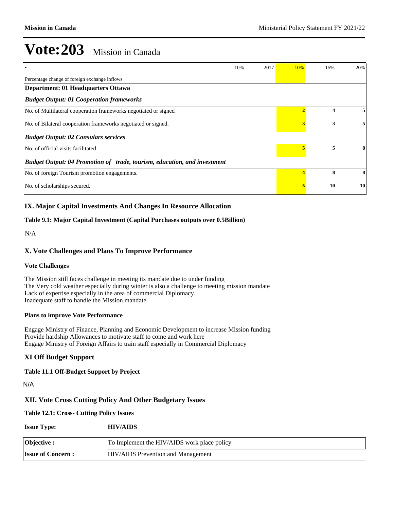|                                                                          | 10% | 2017 | 10% | 15% | 20% |
|--------------------------------------------------------------------------|-----|------|-----|-----|-----|
| Percentage change of foreign exchange inflows                            |     |      |     |     |     |
| <b>Department: 01 Headquarters Ottawa</b>                                |     |      |     |     |     |
| <b>Budget Output: 01 Cooperation frameworks</b>                          |     |      |     |     |     |
| No. of Multilateral cooperation frameworks negotiated or signed          |     |      |     | 4   |     |
| No. of Bilateral cooperation frameworks negotiated or signed.            |     |      |     | 3   |     |
| <b>Budget Output: 02 Consulars services</b>                              |     |      |     |     |     |
| No. of official visits facilitated                                       |     |      |     | 5   |     |
| Budget Output: 04 Promotion of trade, tourism, education, and investment |     |      |     |     |     |
| No. of foreign Tourism promotion engagements.                            |     |      |     | 8   | 8   |
| No. of scholarships secured.                                             |     |      |     | 10  | 10  |

### **IX. Major Capital Investments And Changes In Resource Allocation**

#### **Table 9.1: Major Capital Investment (Capital Purchases outputs over 0.5Billion)**

N/A

### **X. Vote Challenges and Plans To Improve Performance**

#### **Vote Challenges**

The Mission still faces challenge in meeting its mandate due to under funding The Very cold weather especially during winter is also a challenge to meeting mission mandate Lack of expertise especially in the area of commercial Diplomacy. Inadequate staff to handle the Mission mandate

#### **Plans to improve Vote Performance**

Engage Ministry of Finance, Planning and Economic Development to increase Mission funding Provide hardship Allowances to motivate staff to come and work here Engage Ministry of Foreign Affairs to train staff especially in Commercial Diplomacy

#### **XI Off Budget Support**

**Table 11.1 Off-Budget Support by Project**

N/A

#### **XII. Vote Cross Cutting Policy And Other Budgetary Issues**

#### **Table 12.1: Cross- Cutting Policy Issues**

| <b>Issue Type:</b>        | <b>HIV/AIDS</b>                             |
|---------------------------|---------------------------------------------|
| Objective :               | To Implement the HIV/AIDS work place policy |
| <b>Issue of Concern :</b> | HIV/AIDS Prevention and Management          |